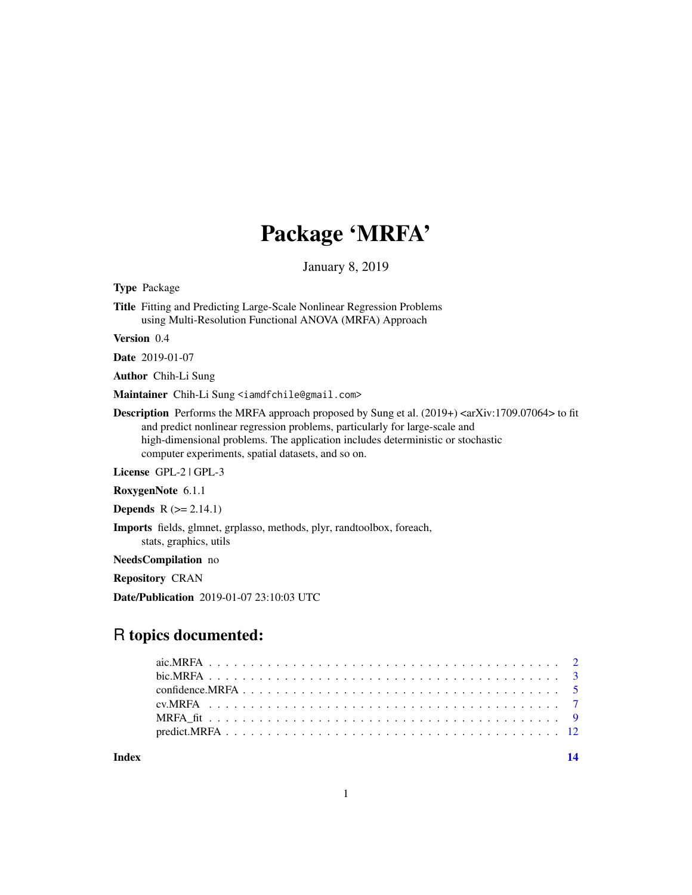## Package 'MRFA'

January 8, 2019

Type Package

Title Fitting and Predicting Large-Scale Nonlinear Regression Problems using Multi-Resolution Functional ANOVA (MRFA) Approach

Version 0.4

Date 2019-01-07

Author Chih-Li Sung

Maintainer Chih-Li Sung <iamdfchile@gmail.com>

**Description** Performs the MRFA approach proposed by Sung et al. (2019+)  $\langle$ arXiv:1709.07064 $\rangle$  to fit and predict nonlinear regression problems, particularly for large-scale and high-dimensional problems. The application includes deterministic or stochastic computer experiments, spatial datasets, and so on.

License GPL-2 | GPL-3

RoxygenNote 6.1.1

**Depends**  $R$  ( $>= 2.14.1$ )

Imports fields, glmnet, grplasso, methods, plyr, randtoolbox, foreach, stats, graphics, utils

NeedsCompilation no

Repository CRAN

Date/Publication 2019-01-07 23:10:03 UTC

### R topics documented:

**Index** 2008 **[14](#page-13-0)** 

1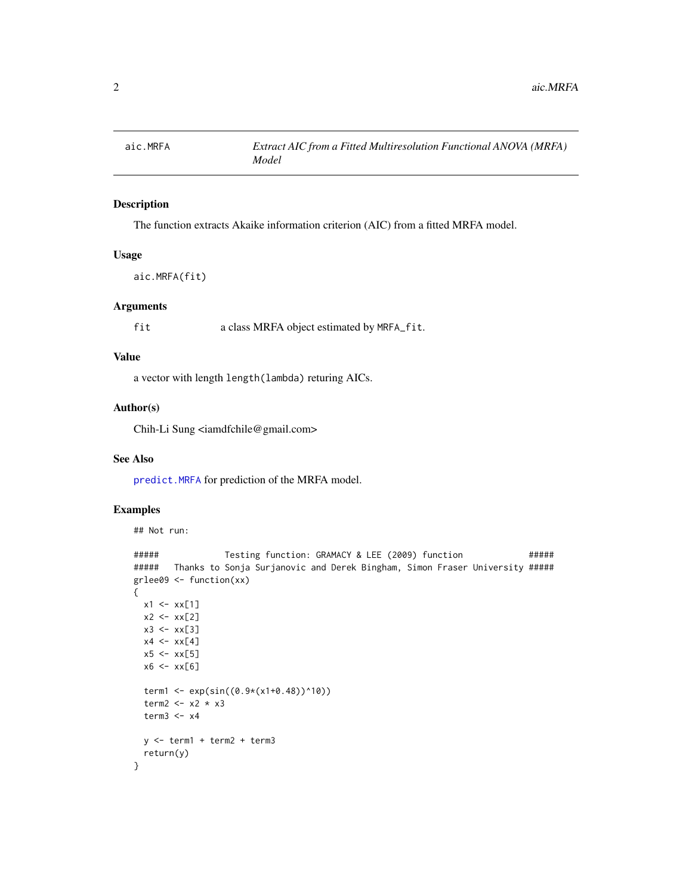<span id="page-1-0"></span>

#### Description

The function extracts Akaike information criterion (AIC) from a fitted MRFA model.

#### Usage

aic.MRFA(fit)

#### Arguments

fit a class MRFA object estimated by MRFA\_fit.

#### Value

a vector with length length(lambda) returing AICs.

#### Author(s)

Chih-Li Sung <iamdfchile@gmail.com>

#### See Also

[predict.MRFA](#page-11-1) for prediction of the MRFA model.

#### Examples

## Not run:

```
##### Testing function: GRAMACY & LEE (2009) function #####
##### Thanks to Sonja Surjanovic and Derek Bingham, Simon Fraser University #####
grlee09 <- function(xx)
{
 x1 \le - xx[1]x2 < - xx[2]x3 < - xx[3]x4 \leftarrow xx[4]x5 < - x x[5]x6 <- xx[6]
 term1 <- exp(sin((0.9*(x1+0.48))^210))term2 <- x2 * x3
 term3 < -x4y <- term1 + term2 + term3
 return(y)
}
```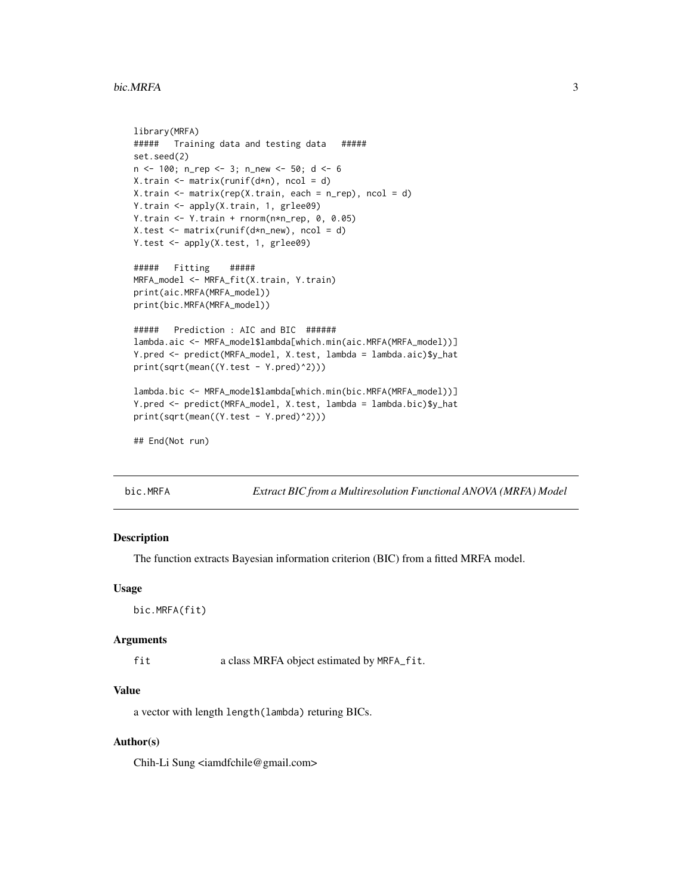#### <span id="page-2-0"></span>bic.MRFA 3

```
library(MRFA)
##### Training data and testing data #####
set.seed(2)
n <- 100; n_rep <- 3; n_new <- 50; d <- 6
X.train <- matrix(runif(d*n), ncol = d)
X.train <- matrix(rep(X.train, each = n_rep), ncol = d)
Y.train <- apply(X.train, 1, grlee09)
Y.train <- Y.train + rnorm(n*n_rep, 0, 0.05)
X.test <- matrix(runif(d*n_new), ncol = d)
Y.test <- apply(X.test, 1, grlee09)
##### Fitting #####
MRFA_model <- MRFA_fit(X.train, Y.train)
print(aic.MRFA(MRFA_model))
print(bic.MRFA(MRFA_model))
##### Prediction : AIC and BIC ######
lambda.aic <- MRFA_model$lambda[which.min(aic.MRFA(MRFA_model))]
Y.pred <- predict(MRFA_model, X.test, lambda = lambda.aic)$y_hat
print(sqrt(mean((Y.test - Y.pred)^2)))
lambda.bic <- MRFA_model$lambda[which.min(bic.MRFA(MRFA_model))]
Y.pred <- predict(MRFA_model, X.test, lambda = lambda.bic)$y_hat
print(sqrt(mean((Y.test - Y.pred)^2)))
## End(Not run)
```
bic.MRFA *Extract BIC from a Multiresolution Functional ANOVA (MRFA) Model*

#### Description

The function extracts Bayesian information criterion (BIC) from a fitted MRFA model.

#### Usage

```
bic.MRFA(fit)
```
#### Arguments

fit a class MRFA object estimated by MRFA\_fit.

#### Value

a vector with length length(lambda) returing BICs.

#### Author(s)

Chih-Li Sung <iamdfchile@gmail.com>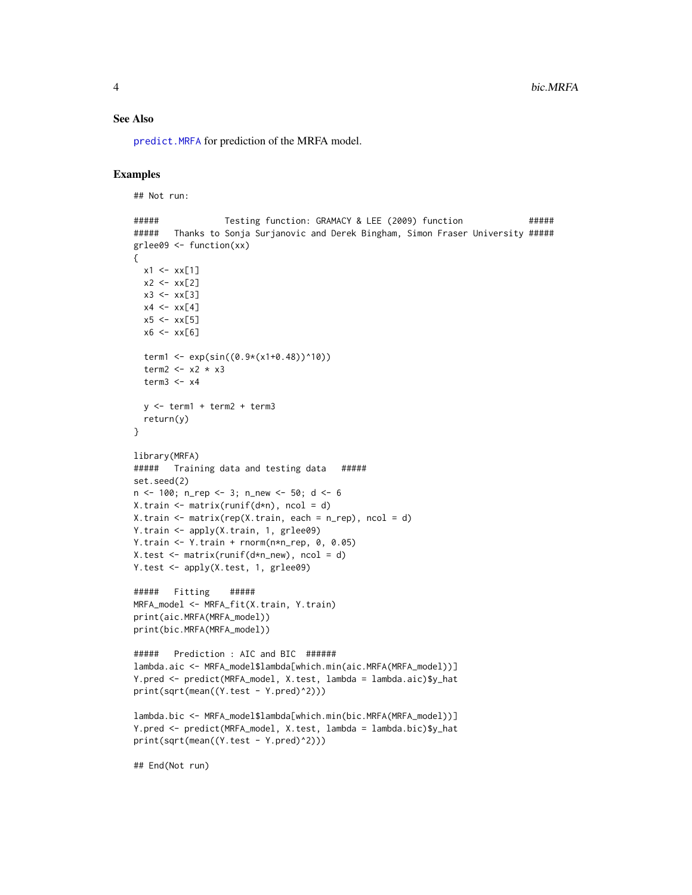#### <span id="page-3-0"></span>See Also

[predict.MRFA](#page-11-1) for prediction of the MRFA model.

#### Examples

```
## Not run:
```

```
##### Testing function: GRAMACY & LEE (2009) function #####
##### Thanks to Sonja Surjanovic and Derek Bingham, Simon Fraser University #####
grlee09 <- function(xx)
{
  x1 \leftarrow xx[1]x2 < - xx[2]x3 \le - x \times [3]x4 \leftarrow xx[4]x5 \leq -x \times 5]
  x6 <- xx[6]
  term1 <- exp(sin((0.9*(x1+0.48))^10))
  term2 <- x2 * x3
  term3 < -x4y <- term1 + term2 + term3
  return(y)
}
library(MRFA)
##### Training data and testing data #####
set.seed(2)
n <- 100; n_rep <- 3; n_new <- 50; d <- 6
X.train <- matrix(runif(d*n), ncol = d)
X.train <- matrix(rep(X.train, each = n_rep), ncol = d)
Y.train <- apply(X.train, 1, grlee09)
Y.train <- Y.train + rnorm(n*n_rep, 0, 0.05)
X.test <- matrix(runif(d*n_new), ncol = d)
Y.test <- apply(X.test, 1, grlee09)
##### Fitting #####
MRFA_model <- MRFA_fit(X.train, Y.train)
print(aic.MRFA(MRFA_model))
print(bic.MRFA(MRFA_model))
##### Prediction : AIC and BIC ######
lambda.aic <- MRFA_model$lambda[which.min(aic.MRFA(MRFA_model))]
Y.pred <- predict(MRFA_model, X.test, lambda = lambda.aic)$y_hat
print(sqrt(mean((Y.test - Y.pred)^2)))
lambda.bic <- MRFA_model$lambda[which.min(bic.MRFA(MRFA_model))]
Y.pred <- predict(MRFA_model, X.test, lambda = lambda.bic)$y_hat
print(sqrt(mean((Y.test - Y.pred)^2)))
```
## End(Not run)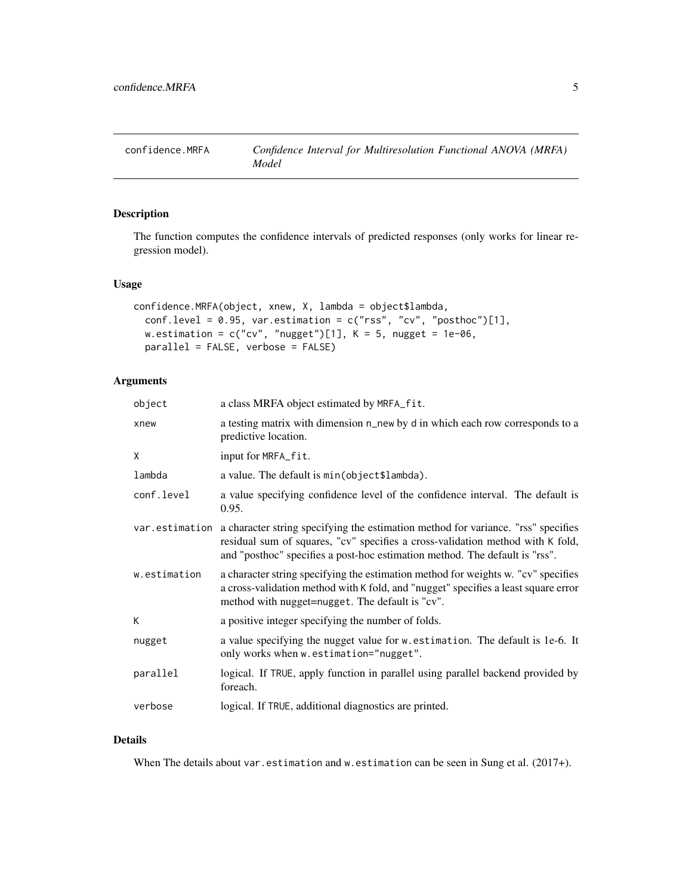<span id="page-4-0"></span>

#### Description

The function computes the confidence intervals of predicted responses (only works for linear regression model).

#### Usage

```
confidence.MRFA(object, xnew, X, lambda = object$lambda,
 conf.level = 0.95, var.estimation = c("rss", "cv", "posthoc")[1],w.estimation = c("cv", "nugget")[1], K = 5, nugget = 1e-06,parallel = FALSE, verbose = FALSE)
```
#### Arguments

| object       | a class MRFA object estimated by MRFA_fit.                                                                                                                                                                                                                        |
|--------------|-------------------------------------------------------------------------------------------------------------------------------------------------------------------------------------------------------------------------------------------------------------------|
| xnew         | a testing matrix with dimension n_new by d in which each row corresponds to a<br>predictive location.                                                                                                                                                             |
| X            | input for MRFA_fit.                                                                                                                                                                                                                                               |
| lambda       | a value. The default is min(object\$lambda).                                                                                                                                                                                                                      |
| conf.level   | a value specifying confidence level of the confidence interval. The default is<br>0.95.                                                                                                                                                                           |
|              | var estimation a character string specifying the estimation method for variance. "rss" specifies<br>residual sum of squares, "cv" specifies a cross-validation method with K fold,<br>and "posthoc" specifies a post-hoc estimation method. The default is "rss". |
| w.estimation | a character string specifying the estimation method for weights w. "cv" specifies<br>a cross-validation method with K fold, and "nugget" specifies a least square error<br>method with nugget=nugget. The default is "cv".                                        |
| К            | a positive integer specifying the number of folds.                                                                                                                                                                                                                |
| nugget       | a value specifying the nugget value for w. estimation. The default is 1e-6. It<br>only works when w.estimation="nugget".                                                                                                                                          |
| parallel     | logical. If TRUE, apply function in parallel using parallel backend provided by<br>foreach.                                                                                                                                                                       |
| verbose      | logical. If TRUE, additional diagnostics are printed.                                                                                                                                                                                                             |

#### Details

When The details about var.estimation and w.estimation can be seen in Sung et al. (2017+).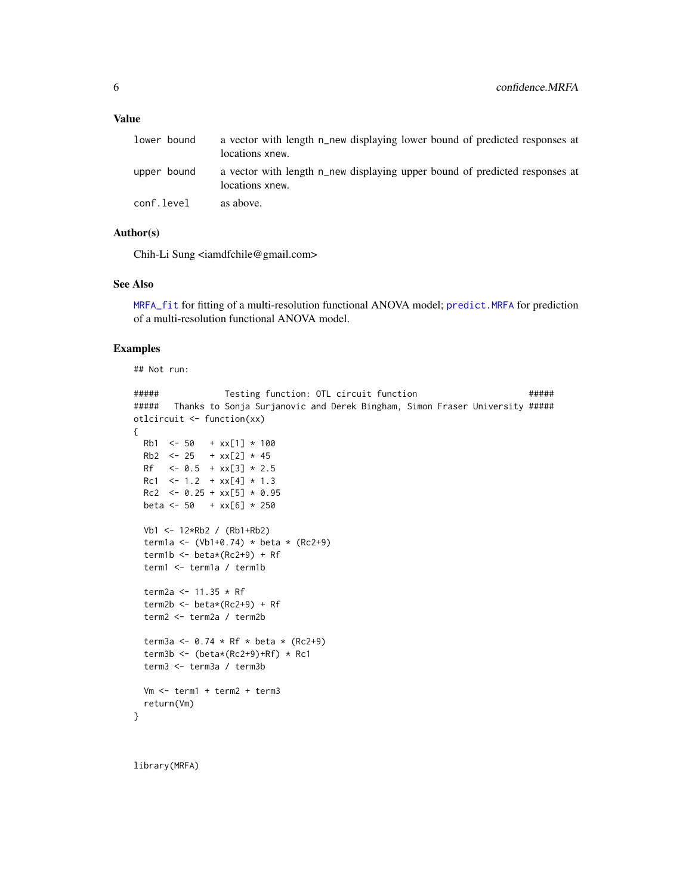#### <span id="page-5-0"></span>Value

| lower bound | a vector with length n_new displaying lower bound of predicted responses at<br>locations xnew. |
|-------------|------------------------------------------------------------------------------------------------|
| upper bound | a vector with length n_new displaying upper bound of predicted responses at<br>locations xnew. |
| conf.level  | as above.                                                                                      |

#### Author(s)

Chih-Li Sung <iamdfchile@gmail.com>

#### See Also

[MRFA\\_fit](#page-8-1) for fitting of a multi-resolution functional ANOVA model; [predict.MRFA](#page-11-1) for prediction of a multi-resolution functional ANOVA model.

#### Examples

```
## Not run:
##### Testing function: OTL circuit function #####
##### Thanks to Sonja Surjanovic and Derek Bingham, Simon Fraser University #####
otlcircuit <- function(xx)
{
 Rb1 \le -50 + xx[1] \times 100Rb2 \le -25 + xx[2] * 45Rf \leq -0.5 + xx[3] \times 2.5Rc1 \leq -1.2 + xx[4] \times 1.3Rc2 \le -0.25 + xx[5] \times 0.95beta <- 50 + xx[6] * 250Vb1 <- 12*Rb2 / (Rb1+Rb2)
 term1a <- (Vb1+0.74) * beta * (Rc2+9)
 term1b <- beta*(Rc2+9) + Rf
 term1 <- term1a / term1b
 term2a <- 11.35 * Rf
 term2b <- beta*(Rc2+9) + Rf
 term2 <- term2a / term2b
 term3a <- 0.74 * Rf * beta * (Rc2+9)
 term3b <- (beta*(Rc2+9)+Rf) * Rc1term3 <- term3a / term3b
 Vm <- term1 + term2 + term3
 return(Vm)
}
```
library(MRFA)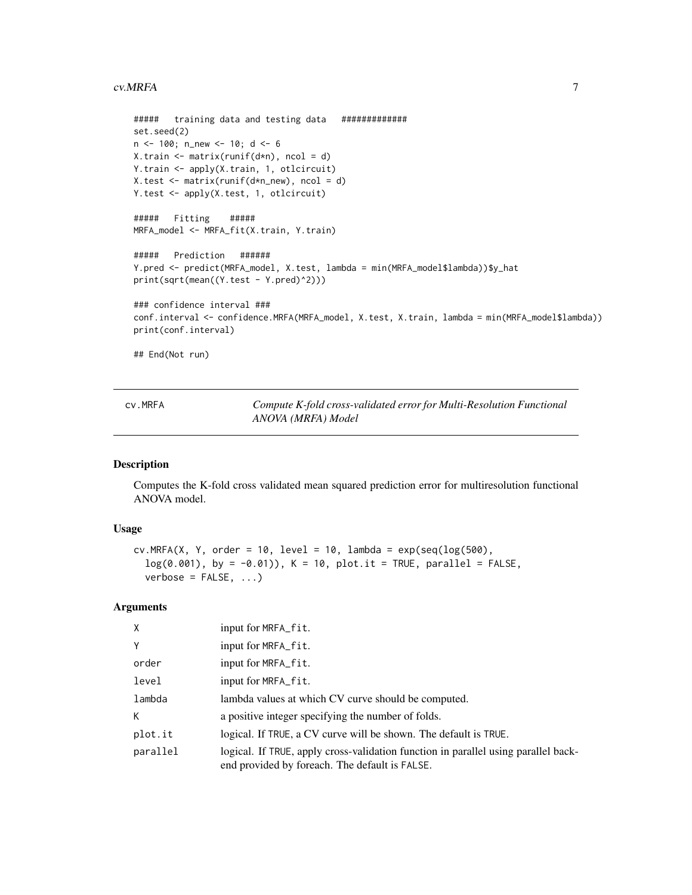#### <span id="page-6-0"></span>cv.MRFA 7

```
##### training data and testing data #############
set.seed(2)
n <- 100; n_new <- 10; d <- 6
X.train \leq matrix(runif(d*n), ncol = d)
Y.train <- apply(X.train, 1, otlcircuit)
X.test <- matrix(runif(d*n_new), ncol = d)
Y.test <- apply(X.test, 1, otlcircuit)
##### Fitting #####
MRFA_model <- MRFA_fit(X.train, Y.train)
##### Prediction ######
Y.pred <- predict(MRFA_model, X.test, lambda = min(MRFA_model$lambda))$y_hat
print(sqrt(mean((Y.test - Y.pred)^2)))
### confidence interval ###
conf.interval <- confidence.MRFA(MRFA_model, X.test, X.train, lambda = min(MRFA_model$lambda))
print(conf.interval)
```
## End(Not run)

cv.MRFA *Compute K-fold cross-validated error for Multi-Resolution Functional ANOVA (MRFA) Model*

#### Description

Computes the K-fold cross validated mean squared prediction error for multiresolution functional ANOVA model.

#### Usage

```
cv.MRFA(X, Y, order = 10, level = 10, lambda = exp(seq(log(500),log(0.001), by = -0.01)), K = 10, plot.it = TRUE, parallel = FALSE,
  verbose = FALSE, ...)
```
#### Arguments

| X        | input for MRFA_fit.                                                                                                                  |
|----------|--------------------------------------------------------------------------------------------------------------------------------------|
| Y        | input for MRFA_fit.                                                                                                                  |
| order    | input for MRFA_fit.                                                                                                                  |
| level    | input for MRFA _ fit.                                                                                                                |
| lambda   | lambda values at which CV curve should be computed.                                                                                  |
| К        | a positive integer specifying the number of folds.                                                                                   |
| plot.it  | logical. If TRUE, a CV curve will be shown. The default is TRUE.                                                                     |
| parallel | logical. If TRUE, apply cross-validation function in parallel using parallel back-<br>end provided by foreach. The default is FALSE. |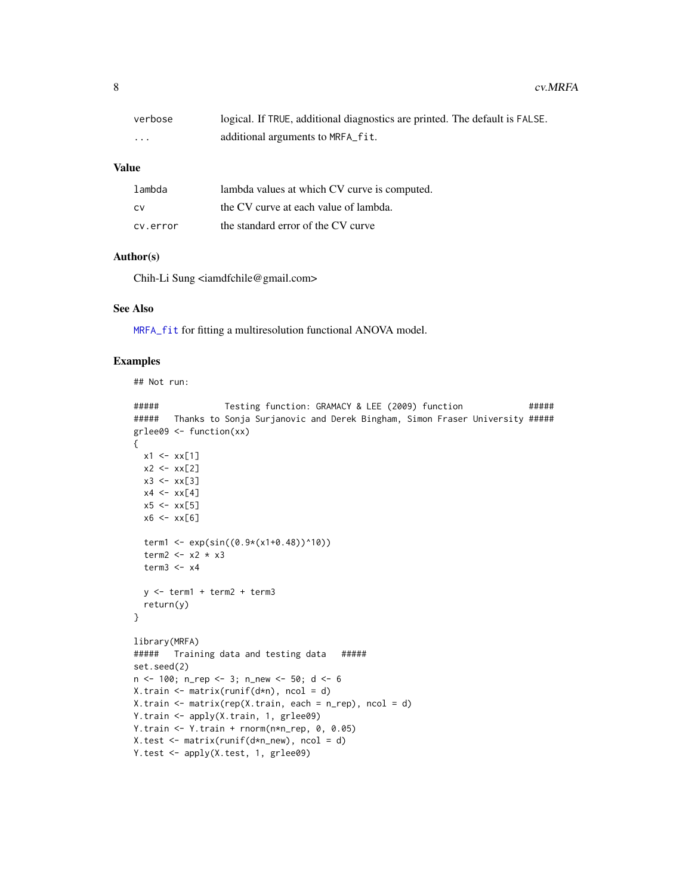<span id="page-7-0"></span>

| verbose  | logical. If TRUE, additional diagnostics are printed. The default is FALSE. |
|----------|-----------------------------------------------------------------------------|
| $\cdots$ | additional arguments to MRFA_fit.                                           |

#### Value

| lambda   | lambda values at which CV curve is computed. |
|----------|----------------------------------------------|
| .CV      | the CV curve at each value of lambda.        |
| cv.error | the standard error of the CV curve           |

#### Author(s)

Chih-Li Sung <iamdfchile@gmail.com>

#### See Also

[MRFA\\_fit](#page-8-1) for fitting a multiresolution functional ANOVA model.

#### Examples

## Not run:

```
##### Testing function: GRAMACY & LEE (2009) function #####
##### Thanks to Sonja Surjanovic and Derek Bingham, Simon Fraser University #####
grlee09 <- function(xx)
{
 x1 \leftarrow xx[1]x2 < - xx[2]x3 < - xx[3]x4 \leftarrow xx[4]x5 < - xx[5]x6 \leftarrow xx[6]term1 <- exp(sin((0.9*(x1+0.48))^10))
  term2 <-x2 \times x3term3 < -x4y <- term1 + term2 + term3
  return(y)
}
library(MRFA)
##### Training data and testing data #####
set.seed(2)
n <- 100; n_rep <- 3; n_new <- 50; d <- 6
X.train \leq matrix(runif(d*n), ncol = d)
X.train <- matrix(rep(X.train, each = n_rep), ncol = d)
Y.train <- apply(X.train, 1, grlee09)
Y.train <- Y.train + rnorm(n*n_rep, 0, 0.05)
X.test <- matrix(runif(d*n_new), ncol = d)
Y.test <- apply(X.test, 1, grlee09)
```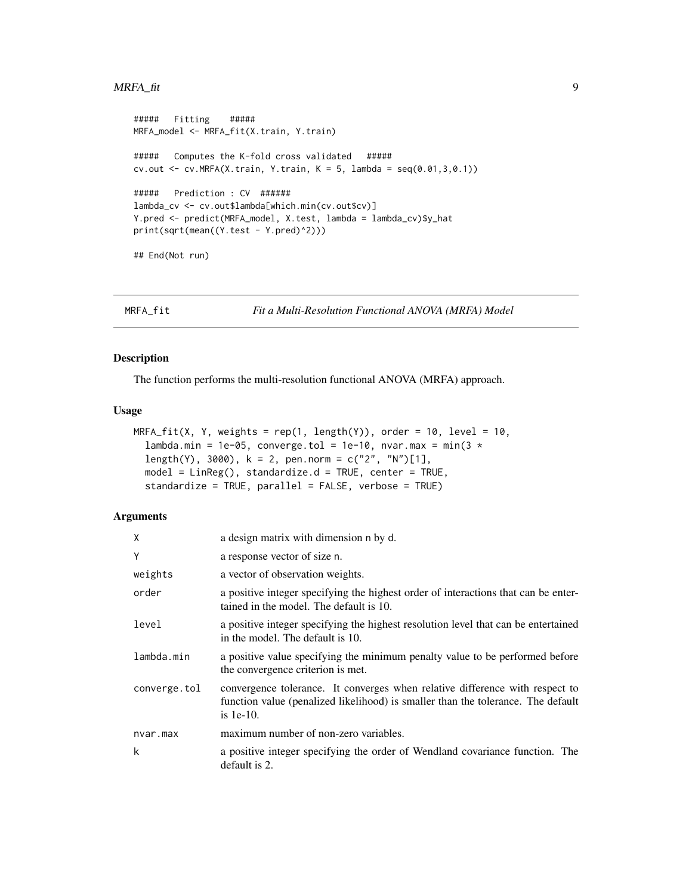#### <span id="page-8-0"></span>MRFA\_fit 9

```
##### Fitting #####
MRFA_model <- MRFA_fit(X.train, Y.train)
##### Computes the K-fold cross validated #####
cv.out <- cv. MRFA(X. train, Y. train, K = 5, lambda = seq(0.01, 3, 0.1))
##### Prediction : CV ######
lambda_cv <- cv.out$lambda[which.min(cv.out$cv)]
Y.pred <- predict(MRFA_model, X.test, lambda = lambda_cv)$y_hat
print(sqrt(mean((Y.test - Y.pred)^2)))
## End(Not run)
```
<span id="page-8-1"></span>

MRFA\_fit *Fit a Multi-Resolution Functional ANOVA (MRFA) Model*

#### Description

The function performs the multi-resolution functional ANOVA (MRFA) approach.

#### Usage

```
MRFA_fit(X, Y, weights = rep(1, length(Y)), order = 10, level = 10,lambda.min = 1e-05, converge.tol = 1e-10, nvar.max = min(3 *length(Y), 3000), k = 2, pen.norm = c("2", "N")[1],
  model = LinReg(), standardize.d = TRUE, center = TRUE,
  standardize = TRUE, parallel = FALSE, verbose = TRUE)
```
#### Arguments

| X            | a design matrix with dimension n by d.                                                                                                                                           |
|--------------|----------------------------------------------------------------------------------------------------------------------------------------------------------------------------------|
| Y            | a response vector of size n.                                                                                                                                                     |
| weights      | a vector of observation weights.                                                                                                                                                 |
| order        | a positive integer specifying the highest order of interactions that can be enter-<br>tained in the model. The default is 10.                                                    |
| level        | a positive integer specifying the highest resolution level that can be entertained<br>in the model. The default is 10.                                                           |
| lambda.min   | a positive value specifying the minimum penalty value to be performed before<br>the convergence criterion is met.                                                                |
| converge.tol | convergence tolerance. It converges when relative difference with respect to<br>function value (penalized likelihood) is smaller than the tolerance. The default<br>is $1e-10$ . |
| nvar.max     | maximum number of non-zero variables.                                                                                                                                            |
| k            | a positive integer specifying the order of Wendland covariance function. The<br>default is 2.                                                                                    |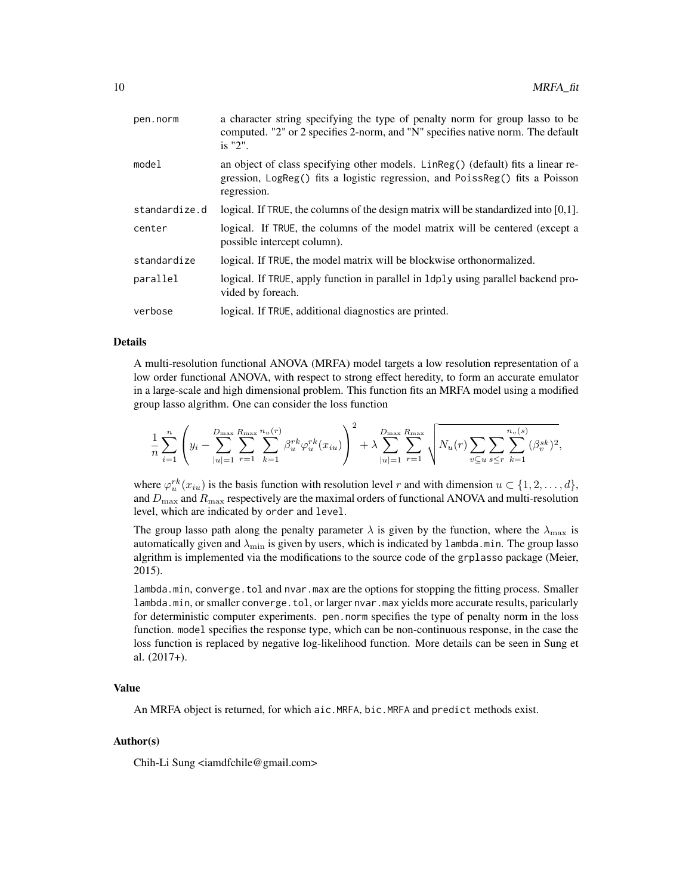| pen.norm      | a character string specifying the type of penalty norm for group lasso to be<br>computed. "2" or 2 specifies 2-norm, and "N" specifies native norm. The default<br>$i$ s "2".   |
|---------------|---------------------------------------------------------------------------------------------------------------------------------------------------------------------------------|
| model         | an object of class specifying other models. LinReg() (default) fits a linear re-<br>gression, LogReg() fits a logistic regression, and PoissReg() fits a Poisson<br>regression. |
| standardize.d | logical. If TRUE, the columns of the design matrix will be standardized into $[0,1]$ .                                                                                          |
| center        | logical. If TRUE, the columns of the model matrix will be centered (except a<br>possible intercept column).                                                                     |
| standardize   | logical. If TRUE, the model matrix will be blockwise orthonormalized.                                                                                                           |
| parallel      | logical. If TRUE, apply function in parallel in 1dp1y using parallel backend pro-<br>vided by foreach.                                                                          |
| verbose       | logical. If TRUE, additional diagnostics are printed.                                                                                                                           |

#### Details

A multi-resolution functional ANOVA (MRFA) model targets a low resolution representation of a low order functional ANOVA, with respect to strong effect heredity, to form an accurate emulator in a large-scale and high dimensional problem. This function fits an MRFA model using a modified group lasso algrithm. One can consider the loss function

$$
\frac{1}{n} \sum_{i=1}^{n} \left( y_i - \sum_{|u|=1}^{D_{\text{max}}} \sum_{r=1}^{R_{\text{max}}} \sum_{k=1}^{n_u(r)} \beta_u^{rk} \varphi_u^{rk}(x_{iu}) \right)^2 + \lambda \sum_{|u|=1}^{D_{\text{max}}} \sum_{r=1}^{R_{\text{max}}} \sqrt{N_u(r) \sum_{v \subseteq u} \sum_{s \le r} \sum_{k=1}^{n_v(s)} (\beta_v^{sk})^2},
$$

where  $\varphi_u^{rk}(x_{iu})$  is the basis function with resolution level r and with dimension  $u \in \{1, 2, ..., d\}$ , and  $D_{\text{max}}$  and  $R_{\text{max}}$  respectively are the maximal orders of functional ANOVA and multi-resolution level, which are indicated by order and level.

The group lasso path along the penalty parameter  $\lambda$  is given by the function, where the  $\lambda_{\max}$  is automatically given and  $\lambda_{\text{min}}$  is given by users, which is indicated by lambda.min. The group lasso algrithm is implemented via the modifications to the source code of the grplasso package (Meier, 2015).

lambda.min, converge.tol and nvar.max are the options for stopping the fitting process. Smaller lambda.min, or smaller converge.tol, or larger nvar.max yields more accurate results, paricularly for deterministic computer experiments. pen.norm specifies the type of penalty norm in the loss function. model specifies the response type, which can be non-continuous response, in the case the loss function is replaced by negative log-likelihood function. More details can be seen in Sung et al. (2017+).

#### Value

An MRFA object is returned, for which aic.MRFA, bic.MRFA and predict methods exist.

#### Author(s)

Chih-Li Sung <iamdfchile@gmail.com>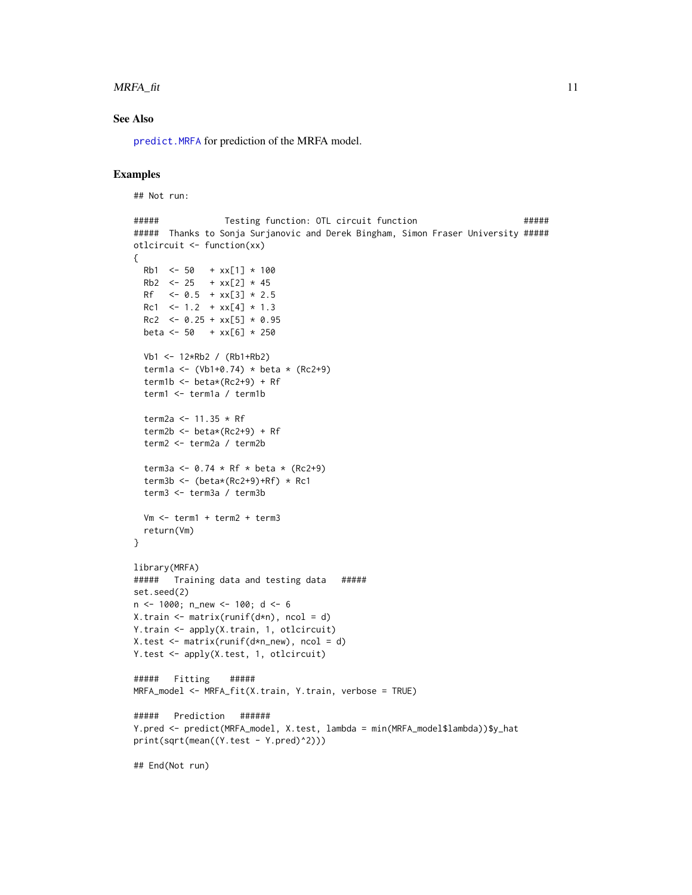#### <span id="page-10-0"></span> $MRFA_f$ fit 11

#### See Also

[predict.MRFA](#page-11-1) for prediction of the MRFA model.

#### Examples

```
## Not run:
```

```
##### Testing function: OTL circuit function #####
##### Thanks to Sonja Surjanovic and Derek Bingham, Simon Fraser University #####
otlcircuit <- function(xx)
{
 Rb1 <- 50 + xx[1] * 100
 Rb2 \le -25 + xx[2] \times 45Rf \leq -0.5 + xx[3] \times 2.5Rc1 \le -1.2 + xx[4] \times 1.3Rc2 \le -0.25 + xx[5] \times 0.95beta <- 50 + xx[6] * 250
 Vb1 <- 12*Rb2 / (Rb1+Rb2)
 term1a <- (Vb1+0.74) * beta * (Rc2+9)
 term1b \leq beta*(Rc2+9) + Rf
 term1 <- term1a / term1b
 term2a <- 11.35 * Rfterm2b <- beta*(Rc2+9) + Rf
 term2 <- term2a / term2b
 term3a <- 0.74 * RF * beta * (Rc2+9)term3b <- (beta*(Rc2+9)+Rf) * Rc1term3 <- term3a / term3b
 Vm <- term1 + term2 + term3
 return(Vm)
}
library(MRFA)
##### Training data and testing data #####
set.seed(2)
n <- 1000; n_new <- 100; d <- 6
X.train \leq matrix(runif(d*n), ncol = d)
Y.train <- apply(X.train, 1, otlcircuit)
X.test <- matrix(runif(d*n_new), ncol = d)
Y.test <- apply(X.test, 1, otlcircuit)
##### Fitting #####
MRFA_model <- MRFA_fit(X.train, Y.train, verbose = TRUE)
##### Prediction ######
Y.pred <- predict(MRFA_model, X.test, lambda = min(MRFA_model$lambda))$y_hat
print(sqrt(mean((Y.test - Y.pred)^2)))
## End(Not run)
```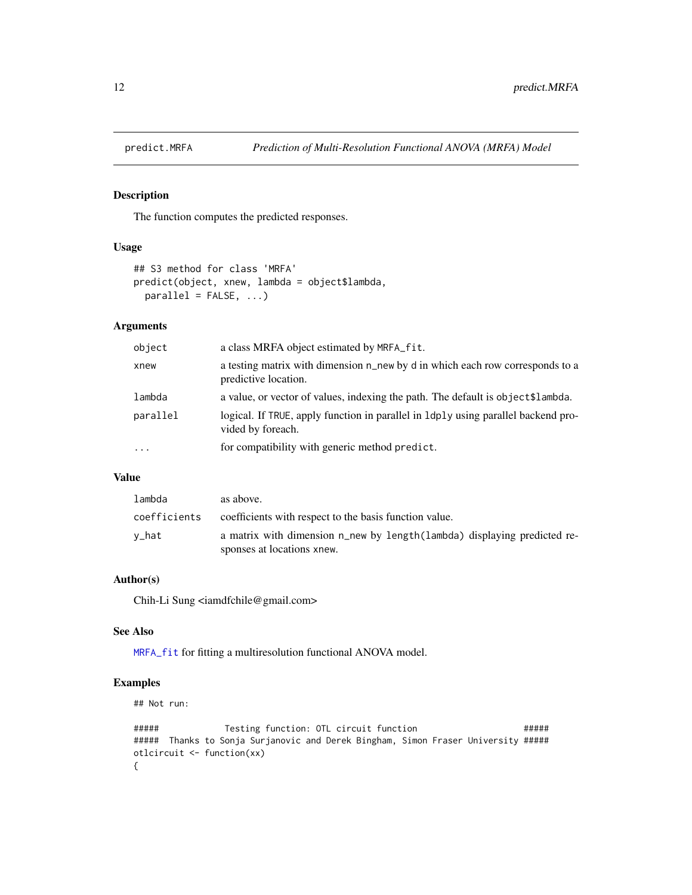<span id="page-11-1"></span><span id="page-11-0"></span>

#### Description

The function computes the predicted responses.

#### Usage

```
## S3 method for class 'MRFA'
predict(object, xnew, lambda = object$lambda,
 parallel = FALSE, ...
```
#### Arguments

| object   | a class MRFA object estimated by MRFA _ fit.                                                            |
|----------|---------------------------------------------------------------------------------------------------------|
| xnew     | a testing matrix with dimension n_new by d in which each row corresponds to a<br>predictive location.   |
| lambda   | a value, or vector of values, indexing the path. The default is object\$lambda.                         |
| parallel | logical. If TRUE, apply function in parallel in 1 dp1y using parallel backend pro-<br>vided by foreach. |
| $\cdots$ | for compatibility with generic method predict.                                                          |

#### Value

| lambda       | as above.                                                                                              |
|--------------|--------------------------------------------------------------------------------------------------------|
| coefficients | coefficients with respect to the basis function value.                                                 |
| v_hat        | a matrix with dimension n_new by length(lambda) displaying predicted re-<br>sponses at locations xnew. |

#### Author(s)

Chih-Li Sung <iamdfchile@gmail.com>

#### See Also

[MRFA\\_fit](#page-8-1) for fitting a multiresolution functional ANOVA model.

#### Examples

## Not run:

```
##### Testing function: OTL circuit function #####
##### Thanks to Sonja Surjanovic and Derek Bingham, Simon Fraser University #####
otlcircuit <- function(xx)
{
```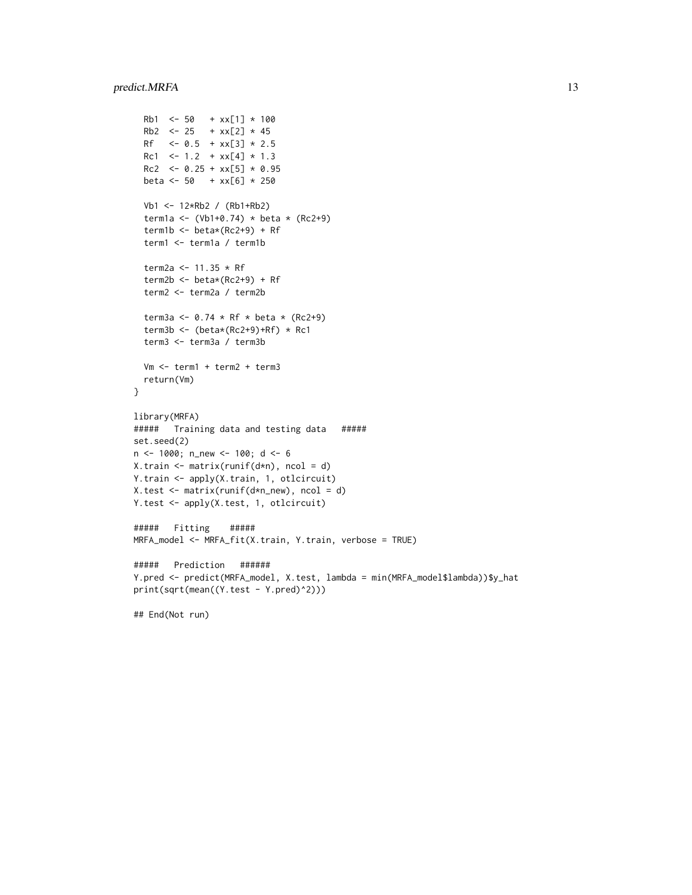```
Rb1 \le -50 + xx[1] * 100Rb2 \le -25 + xx[2] * 45Rf <- 0.5 + xx[3] * 2.5Rc1 \le 1.2 + xx[4] \times 1.3Rc2 \le -0.25 + xx[5] \times 0.95beta <- 50 + xx[6] * 250
  Vb1 <- 12*Rb2 / (Rb1+Rb2)
  term1a <- (Vb1+0.74) * beta * (Rc2+9)
  term1b <- beta*(Rc2+9) + Rf
  term1 <- term1a / term1b
  term2a <- 11.35 * Rf
  term2b <- beta*(Rc2+9) + Rf
  term2 <- term2a / term2b
  term3a <- 0.74 * RF * beta * (RC2+9)term3b <- (beta*(Rc2+9)+Rf) * Rc1term3 <- term3a / term3b
  Vm <- term1 + term2 + term3
  return(Vm)
}
library(MRFA)
##### Training data and testing data #####
set.seed(2)
n <- 1000; n_new <- 100; d <- 6
X.train <- matrix(runif(d*n), ncol = d)
Y.train <- apply(X.train, 1, otlcircuit)
X.test <- matrix(runif(d*n_new), ncol = d)
Y.test <- apply(X.test, 1, otlcircuit)
##### Fitting #####
MRFA_model <- MRFA_fit(X.train, Y.train, verbose = TRUE)
##### Prediction ######
Y.pred <- predict(MRFA_model, X.test, lambda = min(MRFA_model$lambda))$y_hat
print(sqrt(mean((Y.test - Y.pred)^2)))
## End(Not run)
```